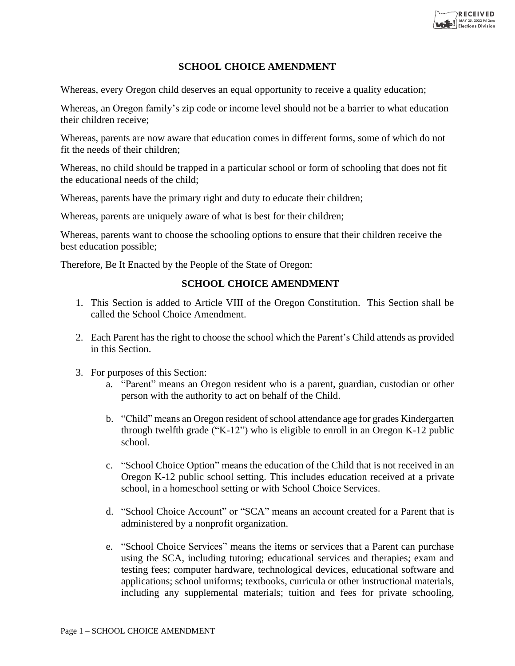

## **SCHOOL CHOICE AMENDMENT**

Whereas, every Oregon child deserves an equal opportunity to receive a quality education;

Whereas, an Oregon family's zip code or income level should not be a barrier to what education their children receive;

Whereas, parents are now aware that education comes in different forms, some of which do not fit the needs of their children;

Whereas, no child should be trapped in a particular school or form of schooling that does not fit the educational needs of the child;

Whereas, parents have the primary right and duty to educate their children;

Whereas, parents are uniquely aware of what is best for their children;

Whereas, parents want to choose the schooling options to ensure that their children receive the best education possible;

Therefore, Be It Enacted by the People of the State of Oregon:

## **SCHOOL CHOICE AMENDMENT**

- 1. This Section is added to Article VIII of the Oregon Constitution. This Section shall be called the School Choice Amendment.
- 2. Each Parent has the right to choose the school which the Parent's Child attends as provided in this Section.
- 3. For purposes of this Section:
	- a. "Parent" means an Oregon resident who is a parent, guardian, custodian or other person with the authority to act on behalf of the Child.
	- b. "Child" means an Oregon resident of school attendance age for grades Kindergarten through twelfth grade ("K-12") who is eligible to enroll in an Oregon K-12 public school.
	- c. "School Choice Option" means the education of the Child that is not received in an Oregon K-12 public school setting. This includes education received at a private school, in a homeschool setting or with School Choice Services.
	- d. "School Choice Account" or "SCA" means an account created for a Parent that is administered by a nonprofit organization.
	- e. "School Choice Services" means the items or services that a Parent can purchase using the SCA, including tutoring; educational services and therapies; exam and testing fees; computer hardware, technological devices, educational software and applications; school uniforms; textbooks, curricula or other instructional materials, including any supplemental materials; tuition and fees for private schooling,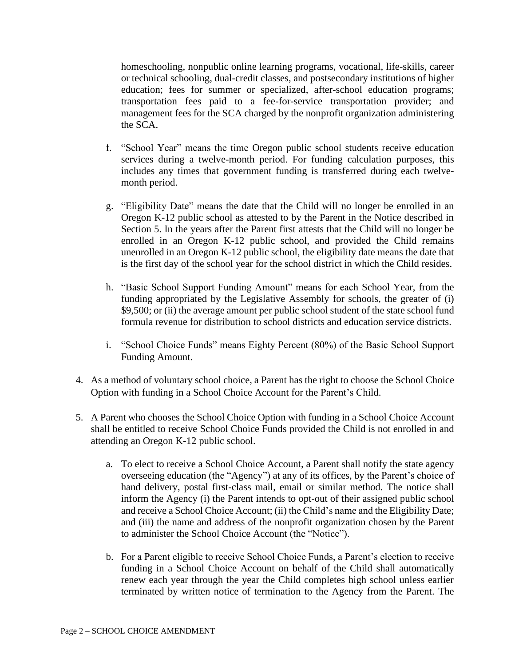homeschooling, nonpublic online learning programs, vocational, life-skills, career or technical schooling, dual-credit classes, and postsecondary institutions of higher education; fees for summer or specialized, after-school education programs; transportation fees paid to a fee-for-service transportation provider; and management fees for the SCA charged by the nonprofit organization administering the SCA.

- f. "School Year" means the time Oregon public school students receive education services during a twelve-month period. For funding calculation purposes, this includes any times that government funding is transferred during each twelvemonth period.
- g. "Eligibility Date" means the date that the Child will no longer be enrolled in an Oregon K-12 public school as attested to by the Parent in the Notice described in Section 5. In the years after the Parent first attests that the Child will no longer be enrolled in an Oregon K-12 public school, and provided the Child remains unenrolled in an Oregon K-12 public school, the eligibility date means the date that is the first day of the school year for the school district in which the Child resides.
- h. "Basic School Support Funding Amount" means for each School Year, from the funding appropriated by the Legislative Assembly for schools, the greater of (i) \$9,500; or (ii) the average amount per public school student of the state school fund formula revenue for distribution to school districts and education service districts.
- i. "School Choice Funds" means Eighty Percent (80%) of the Basic School Support Funding Amount.
- 4. As a method of voluntary school choice, a Parent has the right to choose the School Choice Option with funding in a School Choice Account for the Parent's Child.
- 5. A Parent who chooses the School Choice Option with funding in a School Choice Account shall be entitled to receive School Choice Funds provided the Child is not enrolled in and attending an Oregon K-12 public school.
	- a. To elect to receive a School Choice Account, a Parent shall notify the state agency overseeing education (the "Agency") at any of its offices, by the Parent's choice of hand delivery, postal first-class mail, email or similar method. The notice shall inform the Agency (i) the Parent intends to opt-out of their assigned public school and receive a School Choice Account; (ii) the Child's name and the Eligibility Date; and (iii) the name and address of the nonprofit organization chosen by the Parent to administer the School Choice Account (the "Notice").
	- b. For a Parent eligible to receive School Choice Funds, a Parent's election to receive funding in a School Choice Account on behalf of the Child shall automatically renew each year through the year the Child completes high school unless earlier terminated by written notice of termination to the Agency from the Parent. The